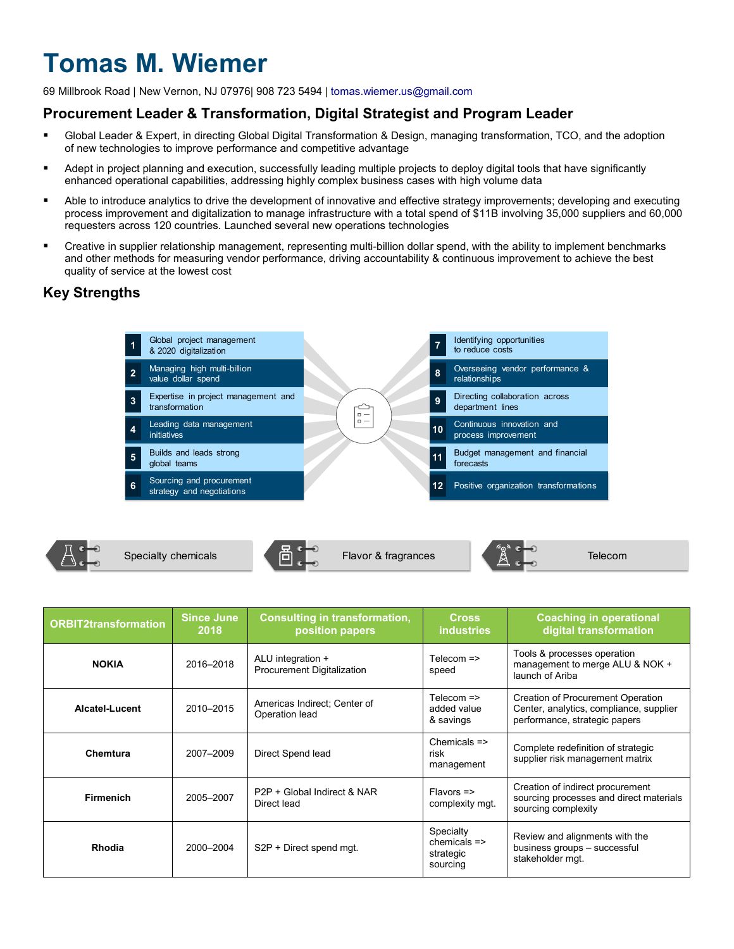# **Tomas M. Wiemer**

69 Millbrook Road | New Vernon, NJ 07976| 908 723 5494 | [tomas.wiemer.us@gmail.com](mailto:tomas.wiemer.us@gmail.com)

# **Procurement Leader & Transformation, Digital Strategist and Program Leader**

- Global Leader & Expert, in directing Global Digital Transformation & Design, managing transformation, TCO, and the adoption of new technologies to improve performance and competitive advantage
- Adept in project planning and execution, successfully leading multiple projects to deploy digital tools that have significantly enhanced operational capabilities, addressing highly complex business cases with high volume data
- Able to introduce analytics to drive the development of innovative and effective strategy improvements; developing and executing process improvement and digitalization to manage infrastructure with a total spend of \$11B involving 35,000 suppliers and 60,000 requesters across 120 countries. Launched several new operations technologies
- Creative in supplier relationship management, representing multi-billion dollar spend, with the ability to implement benchmarks and other methods for measuring vendor performance, driving accountability & continuous improvement to achieve the best quality of service at the lowest cost

# **Key Strengths**





| <b>ORBIT2transformation</b> | <b>Since June</b><br>2018 | <b>Consulting in transformation,</b><br>position papers | <b>Cross</b><br><b>industries</b>                   | <b>Coaching in operational</b><br>digital transformation                                                             |
|-----------------------------|---------------------------|---------------------------------------------------------|-----------------------------------------------------|----------------------------------------------------------------------------------------------------------------------|
| <b>NOKIA</b>                | 2016-2018                 | ALU integration +<br>Procurement Digitalization         | Telecom =><br>speed                                 | Tools & processes operation<br>management to merge ALU & NOK +<br>launch of Ariba                                    |
| Alcatel-Lucent              | 2010-2015                 | Americas Indirect: Center of<br>Operation lead          | Telecom $\Rightarrow$<br>added value<br>& savings   | <b>Creation of Procurement Operation</b><br>Center, analytics, compliance, supplier<br>performance, strategic papers |
| Chemtura                    | 2007-2009                 | Direct Spend lead                                       | Chemicals $\Rightarrow$<br>risk<br>management       | Complete redefinition of strategic<br>supplier risk management matrix                                                |
| <b>Firmenich</b>            | 2005-2007                 | P2P + Global Indirect & NAR<br>Direct lead              | $Flavors$ =><br>complexity mgt.                     | Creation of indirect procurement<br>sourcing processes and direct materials<br>sourcing complexity                   |
| Rhodia                      | 2000-2004                 | S2P + Direct spend mgt.                                 | Specialty<br>$chemicals =$<br>strategic<br>sourcing | Review and alignments with the<br>business groups - successful<br>stakeholder mgt.                                   |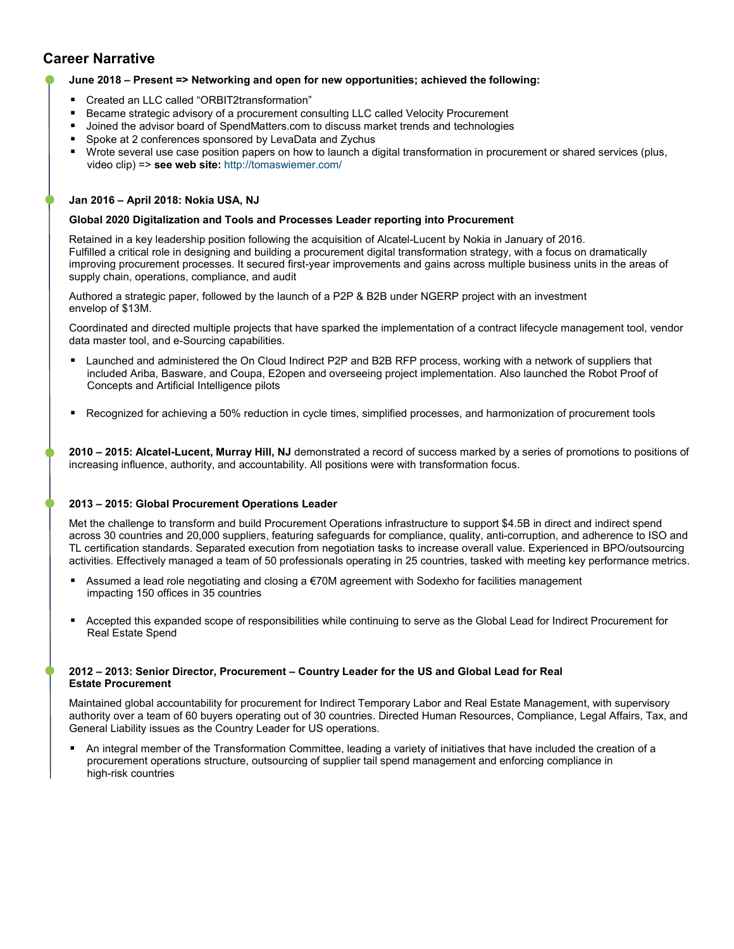# **Career Narrative**

# **June 2018 – Present => Networking and open for new opportunities; achieved the following:**

- Created an LLC called "ORBIT2transformation"
- **Became strategic advisory of a procurement consulting LLC called Velocity Procurement**
- **Joined the advisor board of SpendMatters.com to discuss market trends and technologies**
- Spoke at 2 conferences sponsored by LevaData and Zychus
- Wrote several use case position papers on how to launch a digital transformation in procurement or shared services (plus, video clip) => **see web site:** <http://tomaswiemer.com/>

## **Jan 2016 – April 2018: Nokia USA, NJ**

#### **Global 2020 Digitalization and Tools and Processes Leader reporting into Procurement**

Retained in a key leadership position following the acquisition of Alcatel-Lucent by Nokia in January of 2016. Fulfilled a critical role in designing and building a procurement digital transformation strategy, with a focus on dramatically improving procurement processes. It secured first-year improvements and gains across multiple business units in the areas of supply chain, operations, compliance, and audit

Authored a strategic paper, followed by the launch of a P2P & B2B under NGERP project with an investment envelop of \$13M.

Coordinated and directed multiple projects that have sparked the implementation of a contract lifecycle management tool, vendor data master tool, and e-Sourcing capabilities.

- Launched and administered the On Cloud Indirect P2P and B2B RFP process, working with a network of suppliers that included Ariba, Basware, and Coupa, E2open and overseeing project implementation. Also launched the Robot Proof of Concepts and Artificial Intelligence pilots
- Recognized for achieving a 50% reduction in cycle times, simplified processes, and harmonization of procurement tools

**2010 – 2015: Alcatel-Lucent, Murray Hill, NJ** demonstrated a record of success marked by a series of promotions to positions of increasing influence, authority, and accountability. All positions were with transformation focus.

## **2013 – 2015: Global Procurement Operations Leader**

Met the challenge to transform and build Procurement Operations infrastructure to support \$4.5B in direct and indirect spend across 30 countries and 20,000 suppliers, featuring safeguards for compliance, quality, anti-corruption, and adherence to ISO and TL certification standards. Separated execution from negotiation tasks to increase overall value. Experienced in BPO/outsourcing activities. Effectively managed a team of 50 professionals operating in 25 countries, tasked with meeting key performance metrics.

- Assumed a lead role negotiating and closing a €70M agreement with Sodexho for facilities management impacting 150 offices in 35 countries
- Accepted this expanded scope of responsibilities while continuing to serve as the Global Lead for Indirect Procurement for Real Estate Spend

## **2012 – 2013: Senior Director, Procurement – Country Leader for the US and Global Lead for Real Estate Procurement**

Maintained global accountability for procurement for Indirect Temporary Labor and Real Estate Management, with supervisory authority over a team of 60 buyers operating out of 30 countries. Directed Human Resources, Compliance, Legal Affairs, Tax, and General Liability issues as the Country Leader for US operations.

 An integral member of the Transformation Committee, leading a variety of initiatives that have included the creation of a procurement operations structure, outsourcing of supplier tail spend management and enforcing compliance in high-risk countries